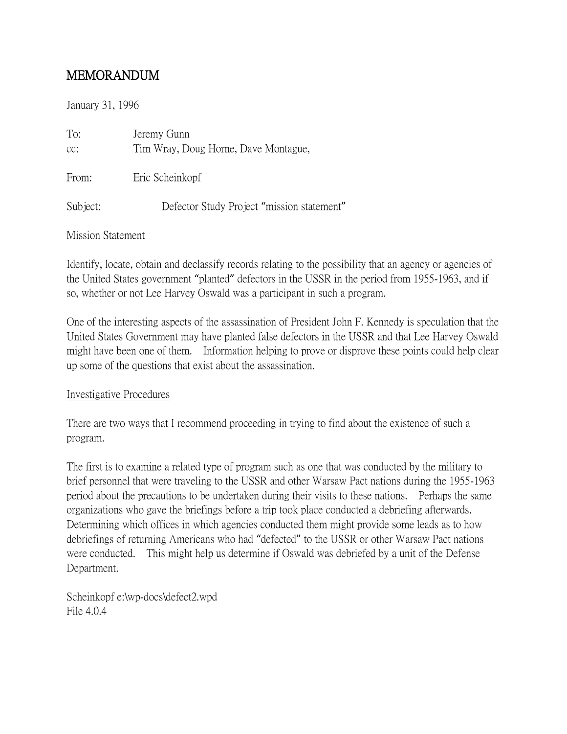## MEMORANDUM

January 31, 1996

| To:<br>cc: | Jeremy Gunn<br>Tim Wray, Doug Horne, Dave Montague, |
|------------|-----------------------------------------------------|
| From:      | Eric Scheinkopf                                     |
| Subject:   | Defector Study Project "mission statement"          |

## Mission Statement

Identify, locate, obtain and declassify records relating to the possibility that an agency or agencies of the United States government "planted" defectors in the USSR in the period from 1955-1963, and if so, whether or not Lee Harvey Oswald was a participant in such a program.

One of the interesting aspects of the assassination of President John F. Kennedy is speculation that the United States Government may have planted false defectors in the USSR and that Lee Harvey Oswald might have been one of them. Information helping to prove or disprove these points could help clear up some of the questions that exist about the assassination.

## Investigative Procedures

There are two ways that I recommend proceeding in trying to find about the existence of such a program.

The first is to examine a related type of program such as one that was conducted by the military to brief personnel that were traveling to the USSR and other Warsaw Pact nations during the 1955-1963 period about the precautions to be undertaken during their visits to these nations. Perhaps the same organizations who gave the briefings before a trip took place conducted a debriefing afterwards. Determining which offices in which agencies conducted them might provide some leads as to how debriefings of returning Americans who had "defected" to the USSR or other Warsaw Pact nations were conducted. This might help us determine if Oswald was debriefed by a unit of the Defense Department.

Scheinkopf e:\wp-docs\defect2.wpd File 4.0.4